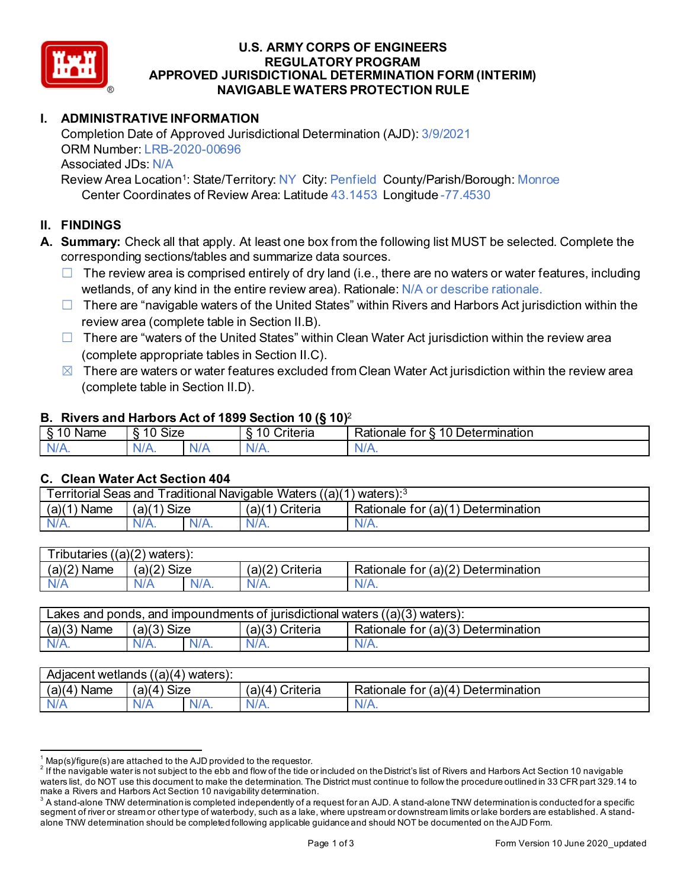

### **U.S. ARMY CORPS OF ENGINEERS REGULATORY PROGRAM APPROVED JURISDICTIONAL DETERMINATION FORM (INTERIM) NAVIGABLE WATERS PROTECTION RULE**

# **I. ADMINISTRATIVE INFORMATION**

Completion Date of Approved Jurisdictional Determination (AJD): 3/9/2021 ORM Number: LRB-2020-00696 Associated JDs: N/A

Review Area Location<sup>1</sup>: State/Territory: NY City: Penfield County/Parish/Borough: Monroe Center Coordinates of Review Area: Latitude 43.1453 Longitude -77.4530

# **II. FINDINGS**

**A. Summary:** Check all that apply. At least one box from the following list MUST be selected. Complete the corresponding sections/tables and summarize data sources.

- $\Box$  The review area is comprised entirely of dry land (i.e., there are no waters or water features, including wetlands, of any kind in the entire review area). Rationale: N/A or describe rationale.
- $\Box$  There are "navigable waters of the United States" within Rivers and Harbors Act jurisdiction within the review area (complete table in Section II.B).
- $\Box$  There are "waters of the United States" within Clean Water Act jurisdiction within the review area (complete appropriate tables in Section II.C).
- $\boxtimes$  There are waters or water features excluded from Clean Water Act jurisdiction within the review area (complete table in Section II.D).

### **B. Rivers and Harbors Act of 1899 Section 10 (§ 10)**<sup>2</sup>

| . .<br>___<br>-<br>Name<br>v | ___<br>____<br>$\ddot{\phantom{1}}$<br>10<br>SIZE |    | ______<br>w<br>$\sim$<br>10<br>`rıterıa<br>∼ | 10<br>$\overline{\phantom{0}}$<br>_<br><b>Determination</b><br>⊀ationale<br>tor |
|------------------------------|---------------------------------------------------|----|----------------------------------------------|---------------------------------------------------------------------------------|
| $N/A$ .                      | \l/4<br>17.                                       | M. | ND<br>.                                      | 11 I N.                                                                         |

### **C. Clean Water Act Section 404**

| <b>Territorial Seas and</b><br>Traditional Navigable Waters ((a)(1) waters): $^3$ |                |         |                   |                                           |
|-----------------------------------------------------------------------------------|----------------|---------|-------------------|-------------------------------------------|
| (a)(1)<br>Name                                                                    | Size<br>(a)(1) |         | Criteria<br>(a)(1 | Rationale for $(a)(1)$<br>) Determination |
| $N/A$ .                                                                           | $N/A$ .        | $N/A$ . | $N/A$ .           | N/A.                                      |

| $T$ ributaries<br>((a)(2)<br>waters). |             |         |                    |                                                         |  |
|---------------------------------------|-------------|---------|--------------------|---------------------------------------------------------|--|
| (a)(2)<br>Name                        | (a)(2) Size |         | (a)(2)<br>Criteria | for (a)(2) $\overline{ }$<br>Determination<br>Rationale |  |
| N/A                                   | A\V         | $N/A$ . | $N/A$ .            | N/A.                                                    |  |

| Lakes and ponds, and impoundments of jurisdictional waters $((a)(3)$ waters): |               |         |                 |                                    |  |
|-------------------------------------------------------------------------------|---------------|---------|-----------------|------------------------------------|--|
| $(a)(3)$ Name                                                                 | $(a)(3)$ Size |         | (a)(3) Criteria | Rationale for (a)(3) Determination |  |
| $N/A$ .                                                                       | $N/A$ .       | $N/A$ . | $N/A$ .         | N/A.                               |  |

| Adjacent wetlands ((a)(4) waters): |                      |         |                                    |                                         |  |
|------------------------------------|----------------------|---------|------------------------------------|-----------------------------------------|--|
| (a)(4)<br>Name                     | <b>Size</b><br>'a)(4 |         | Criteria<br>(a)(<br>$\overline{4}$ | Determination<br>Rationale for $(a)(4)$ |  |
| N/A                                | N/A                  | $N/A$ . | $N/A$ .                            | N/A.                                    |  |

 $^1$  Map(s)/figure(s) are attached to the AJD provided to the requestor.<br><sup>2</sup> If the navigable water is not subject to the ebb and flow of the tide or included on the District's list of Rivers and Harbors Act Section 10 na waters list, do NOT use this document to make the determination. The District must continue to follow the procedure outlined in 33 CFR part 329.14 to make a Rivers and Harbors Act Section 10 navigability determination.

 $^3$  A stand-alone TNW determination is completed independently of a request for an AJD. A stand-alone TNW determination is conducted for a specific segment of river or stream or other type of waterbody, such as a lake, where upstream or downstream limits or lake borders are established. A standalone TNW determination should be completed following applicable guidance and should NOT be documented on the AJD Form.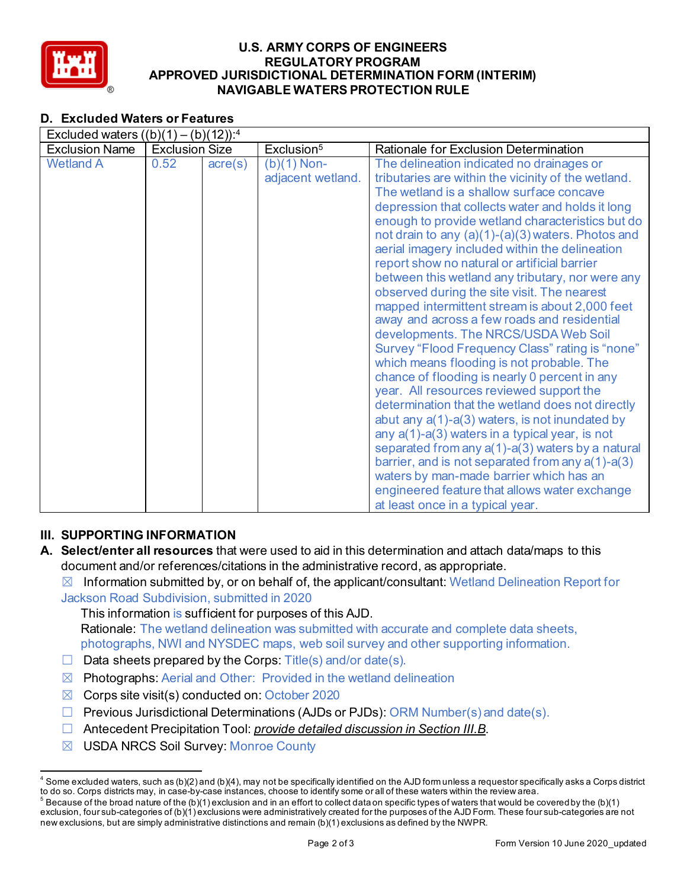

### **U.S. ARMY CORPS OF ENGINEERS REGULATORY PROGRAM APPROVED JURISDICTIONAL DETERMINATION FORM (INTERIM) NAVIGABLE WATERS PROTECTION RULE**

# **D. Excluded Waters or Features**

| Excluded waters $((b)(1) - (b)(12))$ : <sup>4</sup> |                       |                  |                                    |                                                                                                                                                                                                                                                                                                                                                                                                                                                                                                                                                                                                                                                                                                                                                                                                                                                                                                                                                                                                                                                                                                                                                                                                                                                                   |  |
|-----------------------------------------------------|-----------------------|------------------|------------------------------------|-------------------------------------------------------------------------------------------------------------------------------------------------------------------------------------------------------------------------------------------------------------------------------------------------------------------------------------------------------------------------------------------------------------------------------------------------------------------------------------------------------------------------------------------------------------------------------------------------------------------------------------------------------------------------------------------------------------------------------------------------------------------------------------------------------------------------------------------------------------------------------------------------------------------------------------------------------------------------------------------------------------------------------------------------------------------------------------------------------------------------------------------------------------------------------------------------------------------------------------------------------------------|--|
| <b>Exclusion Name</b>                               | <b>Exclusion Size</b> |                  | Exclusion <sup>5</sup>             | Rationale for Exclusion Determination                                                                                                                                                                                                                                                                                                                                                                                                                                                                                                                                                                                                                                                                                                                                                                                                                                                                                                                                                                                                                                                                                                                                                                                                                             |  |
| <b>Wetland A</b>                                    | 0.52                  | $\text{acre}(s)$ | $(b)(1)$ Non-<br>adjacent wetland. | The delineation indicated no drainages or<br>tributaries are within the vicinity of the wetland.<br>The wetland is a shallow surface concave<br>depression that collects water and holds it long<br>enough to provide wetland characteristics but do<br>not drain to any $(a)(1)-(a)(3)$ waters. Photos and<br>aerial imagery included within the delineation<br>report show no natural or artificial barrier<br>between this wetland any tributary, nor were any<br>observed during the site visit. The nearest<br>mapped intermittent stream is about 2,000 feet<br>away and across a few roads and residential<br>developments. The NRCS/USDA Web Soil<br>Survey "Flood Frequency Class" rating is "none"<br>which means flooding is not probable. The<br>chance of flooding is nearly 0 percent in any<br>year. All resources reviewed support the<br>determination that the wetland does not directly<br>abut any $a(1)-a(3)$ waters, is not inundated by<br>any $a(1)$ -a(3) waters in a typical year, is not<br>separated from any a(1)-a(3) waters by a natural<br>barrier, and is not separated from any $a(1)$ - $a(3)$<br>waters by man-made barrier which has an<br>engineered feature that allows water exchange<br>at least once in a typical year. |  |

# **III. SUPPORTING INFORMATION**

- **A. Select/enter all resources** that were used to aid in this determination and attach data/maps to this document and/or references/citations in the administrative record, as appropriate.
	- $\boxtimes$  Information submitted by, or on behalf of, the applicant/consultant: Wetland Delineation Report for Jackson Road Subdivision, submitted in 2020

This information is sufficient for purposes of this AJD. Rationale: The wetland delineation was submitted with accurate and complete data sheets, photographs, NWI and NYSDEC maps, web soil survey and other supporting information.

- $\Box$  Data sheets prepared by the Corps: Title(s) and/or date(s).
- $\boxtimes$  Photographs: Aerial and Other: Provided in the wetland delineation
- $\boxtimes$  Corps site visit(s) conducted on: October 2020
- ☐ Previous Jurisdictional Determinations (AJDs or PJDs): ORM Number(s) and date(s).
- ☐ Antecedent Precipitation Tool: *provide detailed discussion in Section III.B*.
- ☒ USDA NRCS Soil Survey: Monroe County

 $4$  Some excluded waters, such as (b)(2) and (b)(4), may not be specifically identified on the AJD form unless a requestor specifically asks a Corps district to do so. Corps districts may, in case-by-case instances, choose to identify some or all of these waters within the review area.

 $^5$  Because of the broad nature of the (b)(1) exclusion and in an effort to collect data on specific types of waters that would be covered by the (b)(1) exclusion, four sub-categories of (b)(1) exclusions were administratively created for the purposes of the AJD Form. These four sub-categories are not new exclusions, but are simply administrative distinctions and remain (b)(1) exclusions as defined by the NWPR.